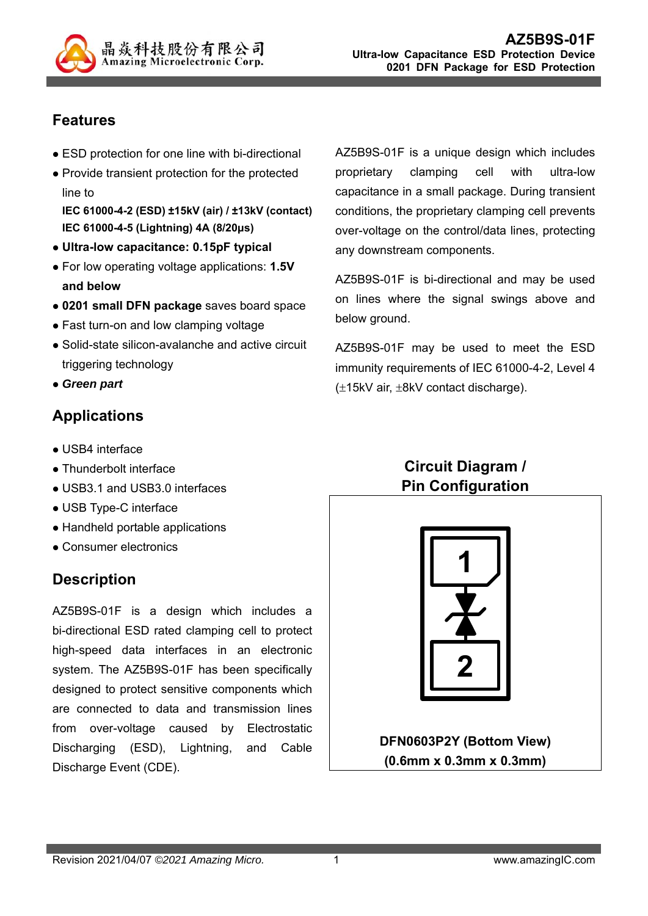

## **Features**

- ESD protection for one line with bi-directional
- Provide transient protection for the protected line to

**IEC 61000-4-2 (ESD) ±15kV (air) / ±13kV (contact) IEC 61000-4-5 (Lightning) 4A (8/20μs)** 

- **Ultra-low capacitance: 0.15pF typical**
- For low operating voltage applications: **1.5V and below**
- **0201 small DFN package** saves board space
- Fast turn-on and low clamping voltage
- Solid-state silicon-avalanche and active circuit triggering technology
- *Green part*

## **Applications**

- USB4 interface
- Thunderbolt interface
- USB3.1 and USB3.0 interfaces
- USB Type-C interface
- Handheld portable applications
- Consumer electronics

## **Description**

AZ5B9S-01F is a design which includes a bi-directional ESD rated clamping cell to protect high-speed data interfaces in an electronic system. The AZ5B9S-01F has been specifically designed to protect sensitive components which are connected to data and transmission lines from over-voltage caused by Electrostatic Discharging (ESD), Lightning, and Cable Discharge Event (CDE).

AZ5B9S-01F is a unique design which includes proprietary clamping cell with ultra-low capacitance in a small package. During transient conditions, the proprietary clamping cell prevents over-voltage on the control/data lines, protecting any downstream components.

AZ5B9S-01F is bi-directional and may be used on lines where the signal swings above and below ground.

AZ5B9S-01F may be used to meet the ESD immunity requirements of IEC 61000-4-2, Level 4  $(\pm 15kV \text{ air}, \pm 8kV \text{ contact}})$ 

## **Circuit Diagram / Pin Configuration**



**DFN0603P2Y (Bottom View) (0.6mm x 0.3mm x 0.3mm)**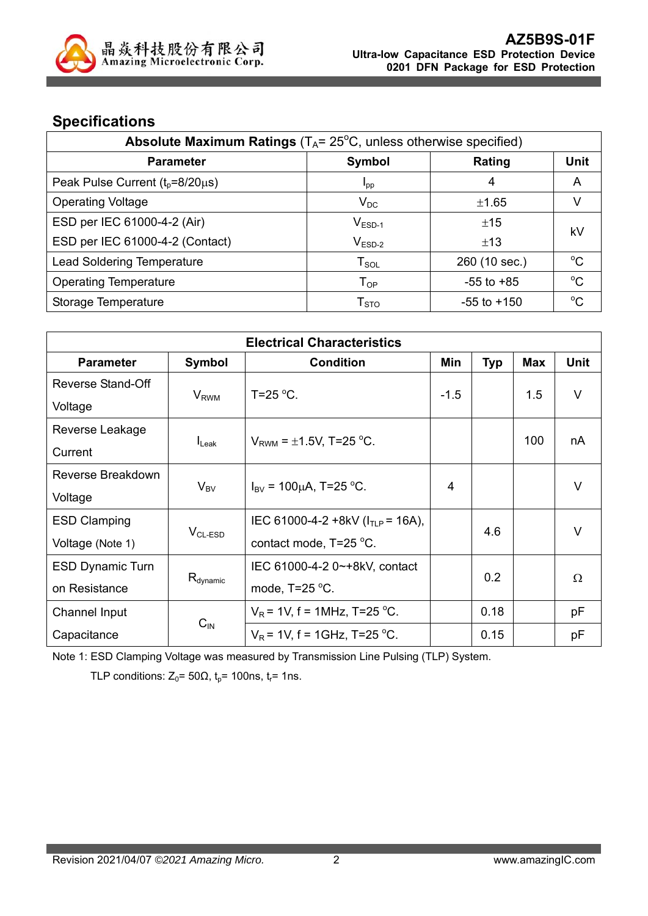

# **Specifications**

| Absolute Maximum Ratings $(T_A = 25^{\circ}C,$ unless otherwise specified) |                        |                 |             |  |
|----------------------------------------------------------------------------|------------------------|-----------------|-------------|--|
| <b>Parameter</b>                                                           | Symbol                 | Rating          | Unit        |  |
| Peak Pulse Current $(t_0=8/20\mu s)$                                       | $I_{\text{pp}}$        | 4               | A           |  |
| <b>Operating Voltage</b>                                                   | $V_{DC}$               | ±1.65           | V           |  |
| ESD per IEC 61000-4-2 (Air)                                                | $V_{ESD-1}$            | ±15             | kV          |  |
| ESD per IEC 61000-4-2 (Contact)                                            | $V_{ESD-2}$            | ±13             |             |  |
| <b>Lead Soldering Temperature</b>                                          | $T_{SOL}$              | 260 (10 sec.)   | $^{\circ}C$ |  |
| <b>Operating Temperature</b>                                               | $T_{OP}$               | $-55$ to $+85$  | $^{\circ}C$ |  |
| Storage Temperature                                                        | ${\sf T}_{\text{STO}}$ | $-55$ to $+150$ | $^{\circ}C$ |  |

| <b>Electrical Characteristics</b> |                         |                                        |        |            |     |             |
|-----------------------------------|-------------------------|----------------------------------------|--------|------------|-----|-------------|
| <b>Parameter</b>                  | Symbol                  | <b>Condition</b>                       | Min    | <b>Typ</b> | Max | <b>Unit</b> |
| <b>Reverse Stand-Off</b>          |                         |                                        |        |            |     |             |
| Voltage                           | <b>V</b> <sub>RWM</sub> | T=25 $\mathrm{^{\circ}C}$ .            | $-1.5$ |            | 1.5 | $\vee$      |
| Reverse Leakage                   |                         |                                        |        |            |     |             |
| Current                           | $I_{\text{Leak}}$       | $V_{RWM} = \pm 1.5V$ , T=25 °C.        |        |            | 100 | nA          |
| Reverse Breakdown                 |                         |                                        | 4      |            |     | $\vee$      |
| Voltage                           | $V_{BV}$                | $I_{\text{BV}}$ = 100µA, T=25 °C.      |        |            |     |             |
| <b>ESD Clamping</b>               | $VCL-ESD$               | IEC 61000-4-2 +8kV ( $I_{TLP}$ = 16A), |        | 4.6        |     | $\vee$      |
| Voltage (Note 1)                  |                         | contact mode, T=25 °C.                 |        |            |     |             |
| <b>ESD Dynamic Turn</b>           |                         | IEC 61000-4-2 0~+8kV, contact          |        | 0.2        |     | Ω           |
| on Resistance                     | $R_{\text{dynamic}}$    | mode, $T=25$ °C.                       |        |            |     |             |
| Channel Input                     |                         | $V_R$ = 1V, f = 1MHz, T=25 °C.         |        | 0.18       |     | pF          |
| Capacitance                       | $C_{\text{IN}}$         | $V_R$ = 1V, f = 1GHz, T=25 °C.         |        | 0.15       |     | рF          |

Note 1: ESD Clamping Voltage was measured by Transmission Line Pulsing (TLP) System.

TLP conditions:  $Z_0$ = 50 $\Omega$ ,  $t_p$ = 100ns,  $t_r$ = 1ns.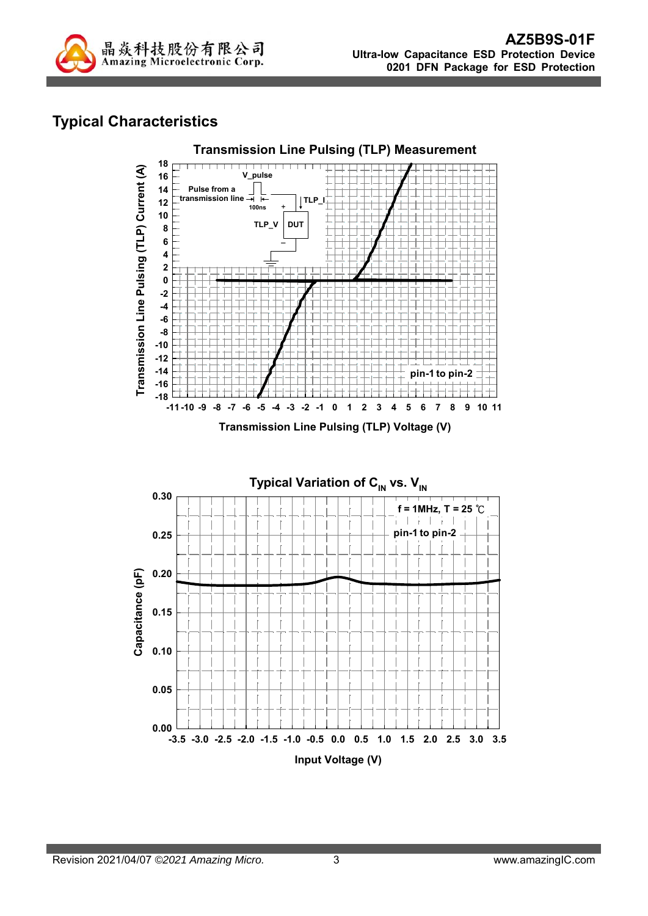

## **Typical Characteristics**



**Transmission Line Pulsing (TLP) Voltage (V)**

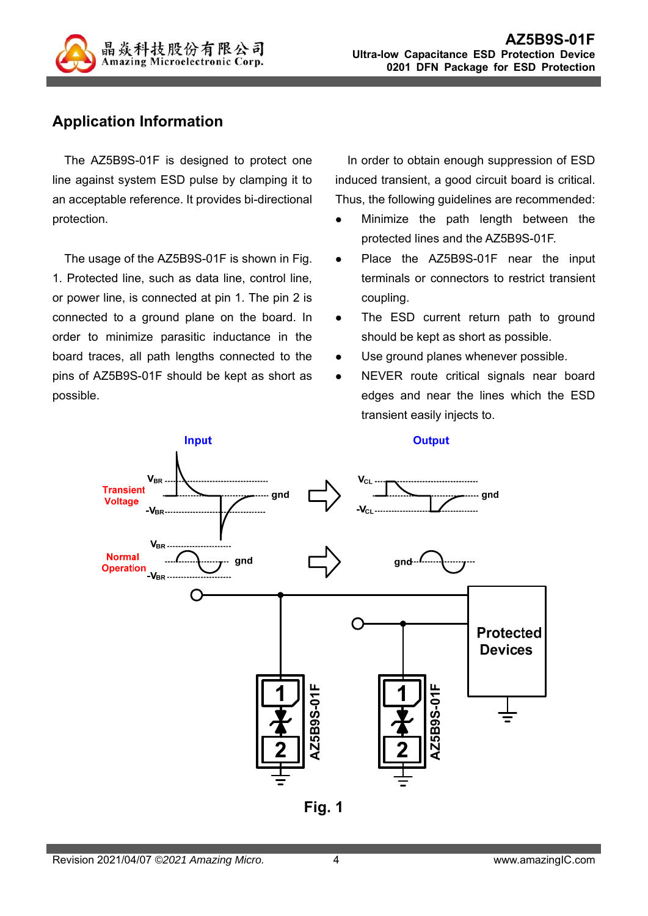

### **Application Information**

The AZ5B9S-01F is designed to protect one line against system ESD pulse by clamping it to an acceptable reference. It provides bi-directional protection.

The usage of the AZ5B9S-01F is shown in Fig. 1. Protected line, such as data line, control line, or power line, is connected at pin 1. The pin 2 is connected to a ground plane on the board. In order to minimize parasitic inductance in the board traces, all path lengths connected to the pins of AZ5B9S-01F should be kept as short as possible.

In order to obtain enough suppression of ESD induced transient, a good circuit board is critical. Thus, the following guidelines are recommended:

- Minimize the path length between the protected lines and the AZ5B9S-01F.
- Place the AZ5B9S-01F near the input terminals or connectors to restrict transient coupling.
- The ESD current return path to ground should be kept as short as possible.
- Use ground planes whenever possible.
- NEVER route critical signals near board edges and near the lines which the ESD transient easily injects to.



**Fig. 1**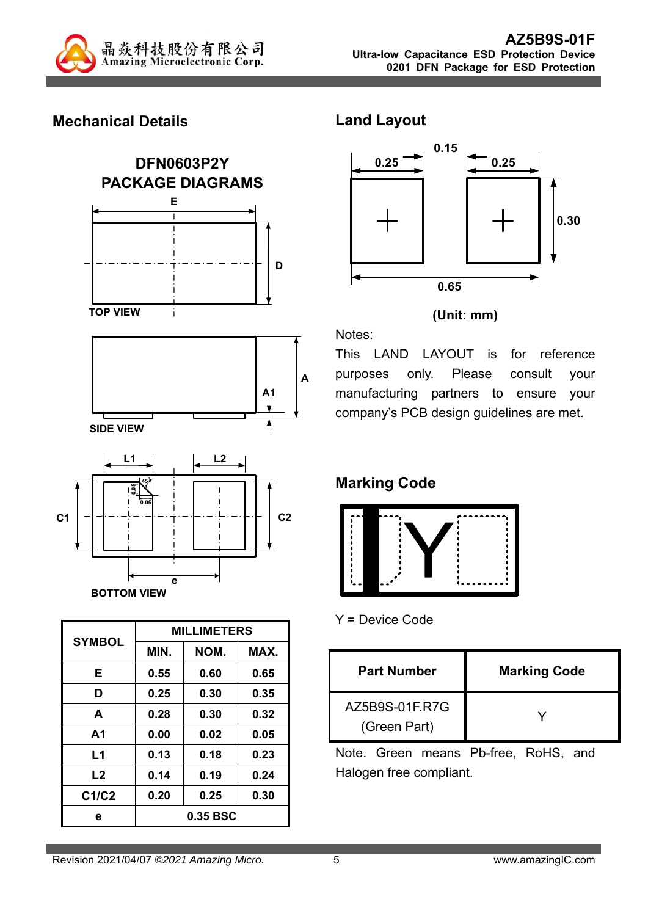

### **Mechanical Details**



| <b>SYMBOL</b> | <b>MILLIMETERS</b> |          |      |  |
|---------------|--------------------|----------|------|--|
|               | MIN.               | NOM.     | MAX. |  |
| Е             | 0.55               | 0.60     | 0.65 |  |
| D             | 0.25               | 0.30     | 0.35 |  |
| A             | 0.28               | 0.30     | 0.32 |  |
| A1            | 0.00               | 0.02     | 0.05 |  |
| L1            | 0.13               | 0.18     | 0.23 |  |
| L2            | 0.14               | 0.19     | 0.24 |  |
| C1/C2         | 0.20               | 0.25     | 0.30 |  |
| е             |                    | 0.35 BSC |      |  |

**Land Layout** 



#### **(Unit: mm)**

Notes:

This LAND LAYOUT is for reference purposes only. Please consult your manufacturing partners to ensure your company's PCB design guidelines are met.

# **Marking Code**



Y = Device Code

| <b>Part Number</b>             | <b>Marking Code</b> |
|--------------------------------|---------------------|
| AZ5B9S-01F.R7G<br>(Green Part) |                     |

Note. Green means Pb-free, RoHS, and Halogen free compliant.